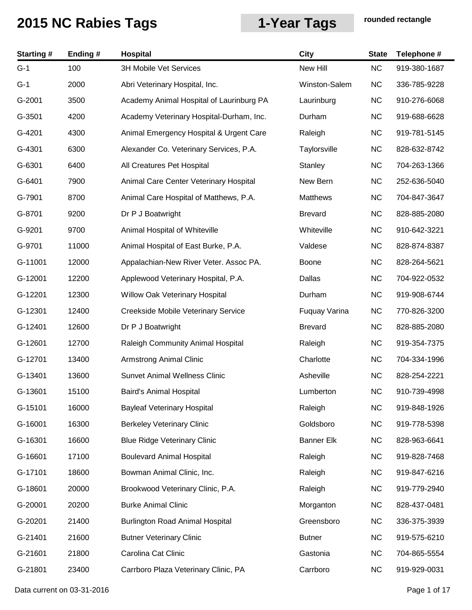| <b>Starting#</b> | Ending# | Hospital                                 | City              | <b>State</b> | Telephone #  |
|------------------|---------|------------------------------------------|-------------------|--------------|--------------|
| $G-1$            | 100     | <b>3H Mobile Vet Services</b>            | New Hill          | <b>NC</b>    | 919-380-1687 |
| $G-1$            | 2000    | Abri Veterinary Hospital, Inc.           | Winston-Salem     | <b>NC</b>    | 336-785-9228 |
| G-2001           | 3500    | Academy Animal Hospital of Laurinburg PA | Laurinburg        | <b>NC</b>    | 910-276-6068 |
| G-3501           | 4200    | Academy Veterinary Hospital-Durham, Inc. | Durham            | <b>NC</b>    | 919-688-6628 |
| G-4201           | 4300    | Animal Emergency Hospital & Urgent Care  | Raleigh           | <b>NC</b>    | 919-781-5145 |
| G-4301           | 6300    | Alexander Co. Veterinary Services, P.A.  | Taylorsville      | <b>NC</b>    | 828-632-8742 |
| G-6301           | 6400    | All Creatures Pet Hospital               | Stanley           | <b>NC</b>    | 704-263-1366 |
| G-6401           | 7900    | Animal Care Center Veterinary Hospital   | New Bern          | <b>NC</b>    | 252-636-5040 |
| G-7901           | 8700    | Animal Care Hospital of Matthews, P.A.   | <b>Matthews</b>   | <b>NC</b>    | 704-847-3647 |
| G-8701           | 9200    | Dr P J Boatwright                        | <b>Brevard</b>    | <b>NC</b>    | 828-885-2080 |
| G-9201           | 9700    | Animal Hospital of Whiteville            | Whiteville        | <b>NC</b>    | 910-642-3221 |
| G-9701           | 11000   | Animal Hospital of East Burke, P.A.      | Valdese           | <b>NC</b>    | 828-874-8387 |
| G-11001          | 12000   | Appalachian-New River Veter. Assoc PA.   | Boone             | <b>NC</b>    | 828-264-5621 |
| G-12001          | 12200   | Applewood Veterinary Hospital, P.A.      | Dallas            | <b>NC</b>    | 704-922-0532 |
| G-12201          | 12300   | Willow Oak Veterinary Hospital           | Durham            | <b>NC</b>    | 919-908-6744 |
| G-12301          | 12400   | Creekside Mobile Veterinary Service      | Fuquay Varina     | <b>NC</b>    | 770-826-3200 |
| G-12401          | 12600   | Dr P J Boatwright                        | <b>Brevard</b>    | <b>NC</b>    | 828-885-2080 |
| G-12601          | 12700   | Raleigh Community Animal Hospital        | Raleigh           | <b>NC</b>    | 919-354-7375 |
| G-12701          | 13400   | <b>Armstrong Animal Clinic</b>           | Charlotte         | <b>NC</b>    | 704-334-1996 |
| G-13401          | 13600   | <b>Sunvet Animal Wellness Clinic</b>     | Asheville         | <b>NC</b>    | 828-254-2221 |
| G-13601          | 15100   | Baird's Animal Hospital                  | Lumberton         | NC.          | 910-739-4998 |
| G-15101          | 16000   | <b>Bayleaf Veterinary Hospital</b>       | Raleigh           | <b>NC</b>    | 919-848-1926 |
| G-16001          | 16300   | <b>Berkeley Veterinary Clinic</b>        | Goldsboro         | <b>NC</b>    | 919-778-5398 |
| G-16301          | 16600   | <b>Blue Ridge Veterinary Clinic</b>      | <b>Banner Elk</b> | <b>NC</b>    | 828-963-6641 |
| G-16601          | 17100   | <b>Boulevard Animal Hospital</b>         | Raleigh           | <b>NC</b>    | 919-828-7468 |
| G-17101          | 18600   | Bowman Animal Clinic, Inc.               | Raleigh           | <b>NC</b>    | 919-847-6216 |
| G-18601          | 20000   | Brookwood Veterinary Clinic, P.A.        | Raleigh           | <b>NC</b>    | 919-779-2940 |
| G-20001          | 20200   | <b>Burke Animal Clinic</b>               | Morganton         | <b>NC</b>    | 828-437-0481 |
| G-20201          | 21400   | <b>Burlington Road Animal Hospital</b>   | Greensboro        | <b>NC</b>    | 336-375-3939 |
| G-21401          | 21600   | <b>Butner Veterinary Clinic</b>          | <b>Butner</b>     | <b>NC</b>    | 919-575-6210 |
| G-21601          | 21800   | Carolina Cat Clinic                      | Gastonia          | <b>NC</b>    | 704-865-5554 |
| G-21801          | 23400   | Carrboro Plaza Veterinary Clinic, PA     | Carrboro          | <b>NC</b>    | 919-929-0031 |

Data current on 03-31-2016 **Page 1 of 17**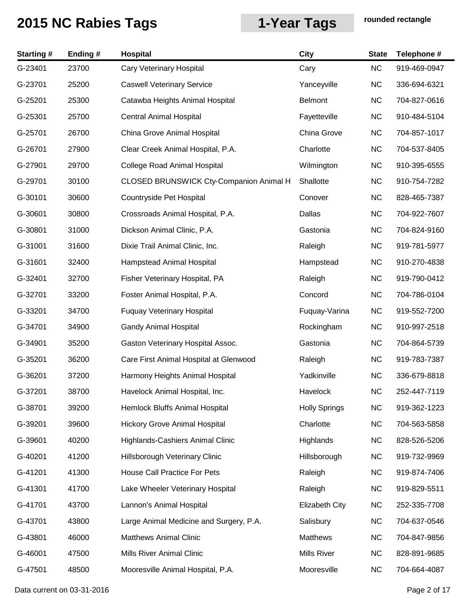| <b>Starting#</b> | Ending # | Hospital                                | <b>City</b>           | <b>State</b> | Telephone #  |
|------------------|----------|-----------------------------------------|-----------------------|--------------|--------------|
| G-23401          | 23700    | Cary Veterinary Hospital                | Cary                  | <b>NC</b>    | 919-469-0947 |
| G-23701          | 25200    | <b>Caswell Veterinary Service</b>       | Yanceyville           | <b>NC</b>    | 336-694-6321 |
| G-25201          | 25300    | Catawba Heights Animal Hospital         | <b>Belmont</b>        | <b>NC</b>    | 704-827-0616 |
| G-25301          | 25700    | <b>Central Animal Hospital</b>          | Fayetteville          | <b>NC</b>    | 910-484-5104 |
| G-25701          | 26700    | China Grove Animal Hospital             | China Grove           | <b>NC</b>    | 704-857-1017 |
| G-26701          | 27900    | Clear Creek Animal Hospital, P.A.       | Charlotte             | <b>NC</b>    | 704-537-8405 |
| G-27901          | 29700    | College Road Animal Hospital            | Wilmington            | <b>NC</b>    | 910-395-6555 |
| G-29701          | 30100    | CLOSED BRUNSWICK Cty-Companion Animal H | Shallotte             | <b>NC</b>    | 910-754-7282 |
| G-30101          | 30600    | Countryside Pet Hospital                | Conover               | <b>NC</b>    | 828-465-7387 |
| G-30601          | 30800    | Crossroads Animal Hospital, P.A.        | Dallas                | <b>NC</b>    | 704-922-7607 |
| G-30801          | 31000    | Dickson Animal Clinic, P.A.             | Gastonia              | <b>NC</b>    | 704-824-9160 |
| G-31001          | 31600    | Dixie Trail Animal Clinic, Inc.         | Raleigh               | <b>NC</b>    | 919-781-5977 |
| G-31601          | 32400    | Hampstead Animal Hospital               | Hampstead             | <b>NC</b>    | 910-270-4838 |
| G-32401          | 32700    | Fisher Veterinary Hospital, PA          | Raleigh               | <b>NC</b>    | 919-790-0412 |
| G-32701          | 33200    | Foster Animal Hospital, P.A.            | Concord               | <b>NC</b>    | 704-786-0104 |
| G-33201          | 34700    | <b>Fuquay Veterinary Hospital</b>       | Fuquay-Varina         | <b>NC</b>    | 919-552-7200 |
| G-34701          | 34900    | <b>Gandy Animal Hospital</b>            | Rockingham            | <b>NC</b>    | 910-997-2518 |
| G-34901          | 35200    | Gaston Veterinary Hospital Assoc.       | Gastonia              | <b>NC</b>    | 704-864-5739 |
| G-35201          | 36200    | Care First Animal Hospital at Glenwood  | Raleigh               | <b>NC</b>    | 919-783-7387 |
| G-36201          | 37200    | Harmony Heights Animal Hospital         | Yadkinville           | <b>NC</b>    | 336-679-8818 |
| G-37201          | 38700    | Havelock Animal Hospital, Inc.          | Havelock              | NC.          | 252-447-7119 |
| G-38701          | 39200    | Hemlock Bluffs Animal Hospital          | <b>Holly Springs</b>  | <b>NC</b>    | 919-362-1223 |
| G-39201          | 39600    | <b>Hickory Grove Animal Hospital</b>    | Charlotte             | <b>NC</b>    | 704-563-5858 |
| G-39601          | 40200    | Highlands-Cashiers Animal Clinic        | Highlands             | <b>NC</b>    | 828-526-5206 |
| G-40201          | 41200    | Hillsborough Veterinary Clinic          | Hillsborough          | <b>NC</b>    | 919-732-9969 |
| G-41201          | 41300    | House Call Practice For Pets            | Raleigh               | <b>NC</b>    | 919-874-7406 |
| G-41301          | 41700    | Lake Wheeler Veterinary Hospital        | Raleigh               | <b>NC</b>    | 919-829-5511 |
| G-41701          | 43700    | Lannon's Animal Hospital                | <b>Elizabeth City</b> | <b>NC</b>    | 252-335-7708 |
| G-43701          | 43800    | Large Animal Medicine and Surgery, P.A. | Salisbury             | <b>NC</b>    | 704-637-0546 |
| G-43801          | 46000    | <b>Matthews Animal Clinic</b>           | Matthews              | <b>NC</b>    | 704-847-9856 |
| G-46001          | 47500    | Mills River Animal Clinic               | <b>Mills River</b>    | <b>NC</b>    | 828-891-9685 |
| G-47501          | 48500    | Mooresville Animal Hospital, P.A.       | Mooresville           | <b>NC</b>    | 704-664-4087 |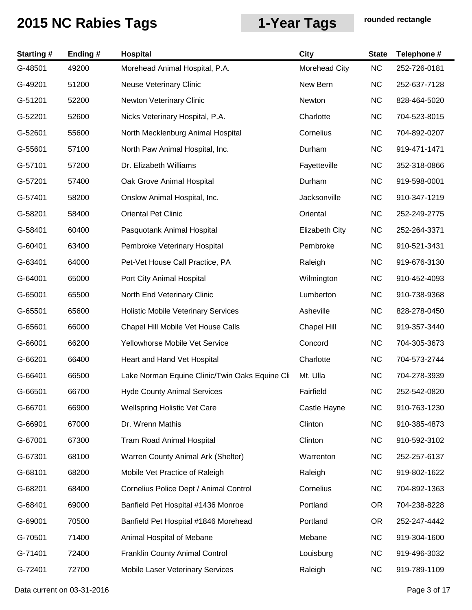| <b>Starting#</b> | Ending# | Hospital                                       | City                  | <b>State</b> | Telephone #  |
|------------------|---------|------------------------------------------------|-----------------------|--------------|--------------|
| G-48501          | 49200   | Morehead Animal Hospital, P.A.                 | Morehead City         | NC           | 252-726-0181 |
| G-49201          | 51200   | <b>Neuse Veterinary Clinic</b>                 | New Bern              | <b>NC</b>    | 252-637-7128 |
| G-51201          | 52200   | Newton Veterinary Clinic                       | Newton                | <b>NC</b>    | 828-464-5020 |
| G-52201          | 52600   | Nicks Veterinary Hospital, P.A.                | Charlotte             | <b>NC</b>    | 704-523-8015 |
| G-52601          | 55600   | North Mecklenburg Animal Hospital              | Cornelius             | <b>NC</b>    | 704-892-0207 |
| G-55601          | 57100   | North Paw Animal Hospital, Inc.                | Durham                | <b>NC</b>    | 919-471-1471 |
| G-57101          | 57200   | Dr. Elizabeth Williams                         | Fayetteville          | <b>NC</b>    | 352-318-0866 |
| G-57201          | 57400   | Oak Grove Animal Hospital                      | Durham                | <b>NC</b>    | 919-598-0001 |
| G-57401          | 58200   | Onslow Animal Hospital, Inc.                   | Jacksonville          | <b>NC</b>    | 910-347-1219 |
| G-58201          | 58400   | <b>Oriental Pet Clinic</b>                     | Oriental              | <b>NC</b>    | 252-249-2775 |
| G-58401          | 60400   | Pasquotank Animal Hospital                     | <b>Elizabeth City</b> | <b>NC</b>    | 252-264-3371 |
| G-60401          | 63400   | Pembroke Veterinary Hospital                   | Pembroke              | <b>NC</b>    | 910-521-3431 |
| G-63401          | 64000   | Pet-Vet House Call Practice, PA                | Raleigh               | <b>NC</b>    | 919-676-3130 |
| G-64001          | 65000   | Port City Animal Hospital                      | Wilmington            | <b>NC</b>    | 910-452-4093 |
| G-65001          | 65500   | North End Veterinary Clinic                    | Lumberton             | <b>NC</b>    | 910-738-9368 |
| G-65501          | 65600   | <b>Holistic Mobile Veterinary Services</b>     | Asheville             | <b>NC</b>    | 828-278-0450 |
| G-65601          | 66000   | Chapel Hill Mobile Vet House Calls             | <b>Chapel Hill</b>    | <b>NC</b>    | 919-357-3440 |
| G-66001          | 66200   | Yellowhorse Mobile Vet Service                 | Concord               | <b>NC</b>    | 704-305-3673 |
| G-66201          | 66400   | Heart and Hand Vet Hospital                    | Charlotte             | <b>NC</b>    | 704-573-2744 |
| G-66401          | 66500   | Lake Norman Equine Clinic/Twin Oaks Equine Cli | Mt. Ulla              | <b>NC</b>    | 704-278-3939 |
| G-66501          | 66700   | <b>Hyde County Animal Services</b>             | Fairfield             | NC           | 252-542-0820 |
| G-66701          | 66900   | Wellspring Holistic Vet Care                   | Castle Hayne          | <b>NC</b>    | 910-763-1230 |
| G-66901          | 67000   | Dr. Wrenn Mathis                               | Clinton               | <b>NC</b>    | 910-385-4873 |
| G-67001          | 67300   | Tram Road Animal Hospital                      | Clinton               | <b>NC</b>    | 910-592-3102 |
| G-67301          | 68100   | Warren County Animal Ark (Shelter)             | Warrenton             | <b>NC</b>    | 252-257-6137 |
| G-68101          | 68200   | Mobile Vet Practice of Raleigh                 | Raleigh               | <b>NC</b>    | 919-802-1622 |
| G-68201          | 68400   | Cornelius Police Dept / Animal Control         | Cornelius             | <b>NC</b>    | 704-892-1363 |
| G-68401          | 69000   | Banfield Pet Hospital #1436 Monroe             | Portland              | OR.          | 704-238-8228 |
| G-69001          | 70500   | Banfield Pet Hospital #1846 Morehead           | Portland              | <b>OR</b>    | 252-247-4442 |
| G-70501          | 71400   | Animal Hospital of Mebane                      | Mebane                | <b>NC</b>    | 919-304-1600 |
| G-71401          | 72400   | <b>Franklin County Animal Control</b>          | Louisburg             | <b>NC</b>    | 919-496-3032 |
| G-72401          | 72700   | Mobile Laser Veterinary Services               | Raleigh               | <b>NC</b>    | 919-789-1109 |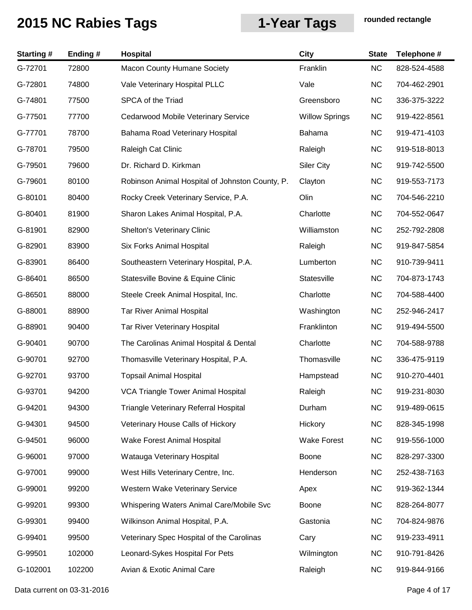| <b>Starting#</b> | Ending# | Hospital                                        | <b>City</b>           | <b>State</b> | Telephone #  |
|------------------|---------|-------------------------------------------------|-----------------------|--------------|--------------|
| G-72701          | 72800   | <b>Macon County Humane Society</b>              | Franklin              | <b>NC</b>    | 828-524-4588 |
| G-72801          | 74800   | Vale Veterinary Hospital PLLC                   | Vale                  | <b>NC</b>    | 704-462-2901 |
| G-74801          | 77500   | SPCA of the Triad                               | Greensboro            | <b>NC</b>    | 336-375-3222 |
| G-77501          | 77700   | Cedarwood Mobile Veterinary Service             | <b>Willow Springs</b> | <b>NC</b>    | 919-422-8561 |
| G-77701          | 78700   | Bahama Road Veterinary Hospital                 | Bahama                | <b>NC</b>    | 919-471-4103 |
| G-78701          | 79500   | Raleigh Cat Clinic                              | Raleigh               | <b>NC</b>    | 919-518-8013 |
| G-79501          | 79600   | Dr. Richard D. Kirkman                          | <b>Siler City</b>     | <b>NC</b>    | 919-742-5500 |
| G-79601          | 80100   | Robinson Animal Hospital of Johnston County, P. | Clayton               | <b>NC</b>    | 919-553-7173 |
| G-80101          | 80400   | Rocky Creek Veterinary Service, P.A.            | Olin                  | <b>NC</b>    | 704-546-2210 |
| G-80401          | 81900   | Sharon Lakes Animal Hospital, P.A.              | Charlotte             | <b>NC</b>    | 704-552-0647 |
| G-81901          | 82900   | <b>Shelton's Veterinary Clinic</b>              | Williamston           | <b>NC</b>    | 252-792-2808 |
| G-82901          | 83900   | <b>Six Forks Animal Hospital</b>                | Raleigh               | <b>NC</b>    | 919-847-5854 |
| G-83901          | 86400   | Southeastern Veterinary Hospital, P.A.          | Lumberton             | <b>NC</b>    | 910-739-9411 |
| G-86401          | 86500   | Statesville Bovine & Equine Clinic              | Statesville           | <b>NC</b>    | 704-873-1743 |
| G-86501          | 88000   | Steele Creek Animal Hospital, Inc.              | Charlotte             | <b>NC</b>    | 704-588-4400 |
| G-88001          | 88900   | <b>Tar River Animal Hospital</b>                | Washington            | <b>NC</b>    | 252-946-2417 |
| G-88901          | 90400   | Tar River Veterinary Hospital                   | Franklinton           | <b>NC</b>    | 919-494-5500 |
| G-90401          | 90700   | The Carolinas Animal Hospital & Dental          | Charlotte             | <b>NC</b>    | 704-588-9788 |
| G-90701          | 92700   | Thomasville Veterinary Hospital, P.A.           | Thomasville           | <b>NC</b>    | 336-475-9119 |
| G-92701          | 93700   | <b>Topsail Animal Hospital</b>                  | Hampstead             | <b>NC</b>    | 910-270-4401 |
| G-93701          | 94200   | VCA Triangle Tower Animal Hospital              | Raleigh               | <b>NC</b>    | 919-231-8030 |
| G-94201          | 94300   | Triangle Veterinary Referral Hospital           | Durham                | <b>NC</b>    | 919-489-0615 |
| G-94301          | 94500   | Veterinary House Calls of Hickory               | Hickory               | <b>NC</b>    | 828-345-1998 |
| G-94501          | 96000   | Wake Forest Animal Hospital                     | <b>Wake Forest</b>    | <b>NC</b>    | 919-556-1000 |
| G-96001          | 97000   | Watauga Veterinary Hospital                     | Boone                 | <b>NC</b>    | 828-297-3300 |
| G-97001          | 99000   | West Hills Veterinary Centre, Inc.              | Henderson             | <b>NC</b>    | 252-438-7163 |
| G-99001          | 99200   | Western Wake Veterinary Service                 | Apex                  | <b>NC</b>    | 919-362-1344 |
| G-99201          | 99300   | Whispering Waters Animal Care/Mobile Svc        | Boone                 | <b>NC</b>    | 828-264-8077 |
| G-99301          | 99400   | Wilkinson Animal Hospital, P.A.                 | Gastonia              | <b>NC</b>    | 704-824-9876 |
| G-99401          | 99500   | Veterinary Spec Hospital of the Carolinas       | Cary                  | <b>NC</b>    | 919-233-4911 |
| G-99501          | 102000  | Leonard-Sykes Hospital For Pets                 | Wilmington            | <b>NC</b>    | 910-791-8426 |
| G-102001         | 102200  | Avian & Exotic Animal Care                      | Raleigh               | <b>NC</b>    | 919-844-9166 |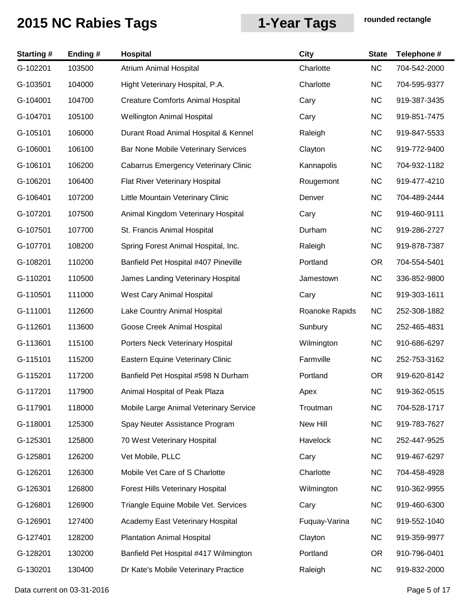| <b>Starting#</b> | Ending # | Hospital                                    | <b>City</b>    | <b>State</b> | Telephone #  |
|------------------|----------|---------------------------------------------|----------------|--------------|--------------|
| G-102201         | 103500   | Atrium Animal Hospital                      | Charlotte      | <b>NC</b>    | 704-542-2000 |
| G-103501         | 104000   | Hight Veterinary Hospital, P.A.             | Charlotte      | <b>NC</b>    | 704-595-9377 |
| G-104001         | 104700   | <b>Creature Comforts Animal Hospital</b>    | Cary           | <b>NC</b>    | 919-387-3435 |
| G-104701         | 105100   | <b>Wellington Animal Hospital</b>           | Cary           | <b>NC</b>    | 919-851-7475 |
| G-105101         | 106000   | Durant Road Animal Hospital & Kennel        | Raleigh        | <b>NC</b>    | 919-847-5533 |
| G-106001         | 106100   | Bar None Mobile Veterinary Services         | Clayton        | <b>NC</b>    | 919-772-9400 |
| G-106101         | 106200   | <b>Cabarrus Emergency Veterinary Clinic</b> | Kannapolis     | <b>NC</b>    | 704-932-1182 |
| G-106201         | 106400   | Flat River Veterinary Hospital              | Rougemont      | <b>NC</b>    | 919-477-4210 |
| G-106401         | 107200   | Little Mountain Veterinary Clinic           | Denver         | <b>NC</b>    | 704-489-2444 |
| G-107201         | 107500   | Animal Kingdom Veterinary Hospital          | Cary           | <b>NC</b>    | 919-460-9111 |
| G-107501         | 107700   | St. Francis Animal Hospital                 | Durham         | <b>NC</b>    | 919-286-2727 |
| G-107701         | 108200   | Spring Forest Animal Hospital, Inc.         | Raleigh        | <b>NC</b>    | 919-878-7387 |
| G-108201         | 110200   | Banfield Pet Hospital #407 Pineville        | Portland       | OR.          | 704-554-5401 |
| G-110201         | 110500   | James Landing Veterinary Hospital           | Jamestown      | <b>NC</b>    | 336-852-9800 |
| G-110501         | 111000   | West Cary Animal Hospital                   | Cary           | <b>NC</b>    | 919-303-1611 |
| G-111001         | 112600   | Lake Country Animal Hospital                | Roanoke Rapids | <b>NC</b>    | 252-308-1882 |
| G-112601         | 113600   | Goose Creek Animal Hospital                 | Sunbury        | <b>NC</b>    | 252-465-4831 |
| G-113601         | 115100   | Porters Neck Veterinary Hospital            | Wilmington     | <b>NC</b>    | 910-686-6297 |
| G-115101         | 115200   | Eastern Equine Veterinary Clinic            | Farmville      | <b>NC</b>    | 252-753-3162 |
| G-115201         | 117200   | Banfield Pet Hospital #598 N Durham         | Portland       | OR.          | 919-620-8142 |
| G-117201         | 117900   | Animal Hospital of Peak Plaza               | Apex           | <b>NC</b>    | 919-362-0515 |
| G-117901         | 118000   | Mobile Large Animal Veterinary Service      | Troutman       | <b>NC</b>    | 704-528-1717 |
| G-118001         | 125300   | Spay Neuter Assistance Program              | New Hill       | <b>NC</b>    | 919-783-7627 |
| G-125301         | 125800   | 70 West Veterinary Hospital                 | Havelock       | <b>NC</b>    | 252-447-9525 |
| G-125801         | 126200   | Vet Mobile, PLLC                            | Cary           | <b>NC</b>    | 919-467-6297 |
| G-126201         | 126300   | Mobile Vet Care of S Charlotte              | Charlotte      | <b>NC</b>    | 704-458-4928 |
| G-126301         | 126800   | Forest Hills Veterinary Hospital            | Wilmington     | <b>NC</b>    | 910-362-9955 |
| G-126801         | 126900   | Triangle Equine Mobile Vet. Services        | Cary           | <b>NC</b>    | 919-460-6300 |
| G-126901         | 127400   | Academy East Veterinary Hospital            | Fuquay-Varina  | <b>NC</b>    | 919-552-1040 |
| G-127401         | 128200   | <b>Plantation Animal Hospital</b>           | Clayton        | <b>NC</b>    | 919-359-9977 |
| G-128201         | 130200   | Banfield Pet Hospital #417 Wilmington       | Portland       | OR.          | 910-796-0401 |
| G-130201         | 130400   | Dr Kate's Mobile Veterinary Practice        | Raleigh        | <b>NC</b>    | 919-832-2000 |

Data current on 03-31-2016 **Page 5 of 17**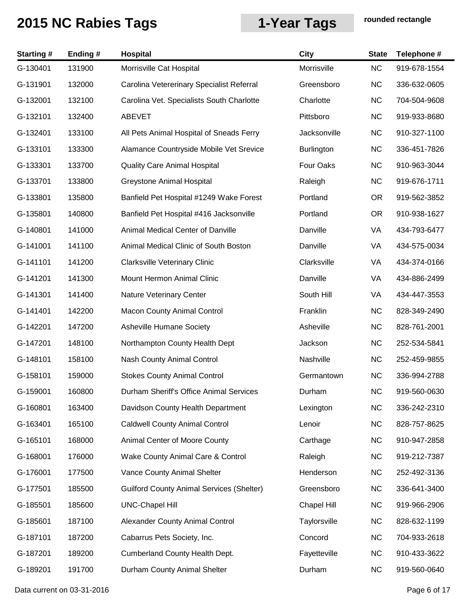| <b>Starting#</b> | Ending # | Hospital                                         | <b>City</b>       | <b>State</b> | Telephone #  |
|------------------|----------|--------------------------------------------------|-------------------|--------------|--------------|
| G-130401         | 131900   | Morrisville Cat Hospital                         | Morrisville       | <b>NC</b>    | 919-678-1554 |
| G-131901         | 132000   | Carolina Vetererinary Specialist Referral        | Greensboro        | <b>NC</b>    | 336-632-0605 |
| G-132001         | 132100   | Carolina Vet. Specialists South Charlotte        | Charlotte         | <b>NC</b>    | 704-504-9608 |
| G-132101         | 132400   | ABEVET                                           | Pittsboro         | <b>NC</b>    | 919-933-8680 |
| G-132401         | 133100   | All Pets Animal Hospital of Sneads Ferry         | Jacksonville      | <b>NC</b>    | 910-327-1100 |
| G-133101         | 133300   | Alamance Countryside Mobile Vet Srevice          | <b>Burlington</b> | <b>NC</b>    | 336-451-7826 |
| G-133301         | 133700   | <b>Quality Care Animal Hospital</b>              | Four Oaks         | <b>NC</b>    | 910-963-3044 |
| G-133701         | 133800   | Greystone Animal Hospital                        | Raleigh           | <b>NC</b>    | 919-676-1711 |
| G-133801         | 135800   | Banfield Pet Hospital #1249 Wake Forest          | Portland          | <b>OR</b>    | 919-562-3852 |
| G-135801         | 140800   | Banfield Pet Hospital #416 Jacksonville          | Portland          | <b>OR</b>    | 910-938-1627 |
| G-140801         | 141000   | Animal Medical Center of Danville                | Danville          | VA           | 434-793-6477 |
| G-141001         | 141100   | Animal Medical Clinic of South Boston            | Danville          | VA           | 434-575-0034 |
| G-141101         | 141200   | <b>Clarksville Veterinary Clinic</b>             | Clarksville       | VA           | 434-374-0166 |
| G-141201         | 141300   | Mount Hermon Animal Clinic                       | Danville          | VA           | 434-886-2499 |
| G-141301         | 141400   | <b>Nature Veterinary Center</b>                  | South Hill        | VA           | 434-447-3553 |
| G-141401         | 142200   | <b>Macon County Animal Control</b>               | Franklin          | <b>NC</b>    | 828-349-2490 |
| G-142201         | 147200   | Asheville Humane Society                         | Asheville         | <b>NC</b>    | 828-761-2001 |
| G-147201         | 148100   | Northampton County Health Dept                   | Jackson           | <b>NC</b>    | 252-534-5841 |
| G-148101         | 158100   | Nash County Animal Control                       | Nashville         | <b>NC</b>    | 252-459-9855 |
| G-158101         | 159000   | <b>Stokes County Animal Control</b>              | Germantown        | <b>NC</b>    | 336-994-2788 |
| G-159001         | 160800   | Durham Sheriff's Office Animal Services          | Durham            | <b>NC</b>    | 919-560-0630 |
| G-160801         | 163400   | Davidson County Health Department                | Lexington         | <b>NC</b>    | 336-242-2310 |
| G-163401         | 165100   | <b>Caldwell County Animal Control</b>            | Lenoir            | <b>NC</b>    | 828-757-8625 |
| G-165101         | 168000   | Animal Center of Moore County                    | Carthage          | <b>NC</b>    | 910-947-2858 |
| G-168001         | 176000   | Wake County Animal Care & Control                | Raleigh           | <b>NC</b>    | 919-212-7387 |
| G-176001         | 177500   | Vance County Animal Shelter                      | Henderson         | <b>NC</b>    | 252-492-3136 |
| G-177501         | 185500   | <b>Guilford County Animal Services (Shelter)</b> | Greensboro        | <b>NC</b>    | 336-641-3400 |
| G-185501         | 185600   | <b>UNC-Chapel Hill</b>                           | Chapel Hill       | <b>NC</b>    | 919-966-2906 |
| G-185601         | 187100   | Alexander County Animal Control                  | Taylorsville      | <b>NC</b>    | 828-632-1199 |
| G-187101         | 187200   | Cabarrus Pets Society, Inc.                      | Concord           | <b>NC</b>    | 704-933-2618 |
| G-187201         | 189200   | <b>Cumberland County Health Dept.</b>            | Fayetteville      | <b>NC</b>    | 910-433-3622 |
| G-189201         | 191700   | Durham County Animal Shelter                     | Durham            | <b>NC</b>    | 919-560-0640 |

Data current on 03-31-2016 **Page 6 of 17**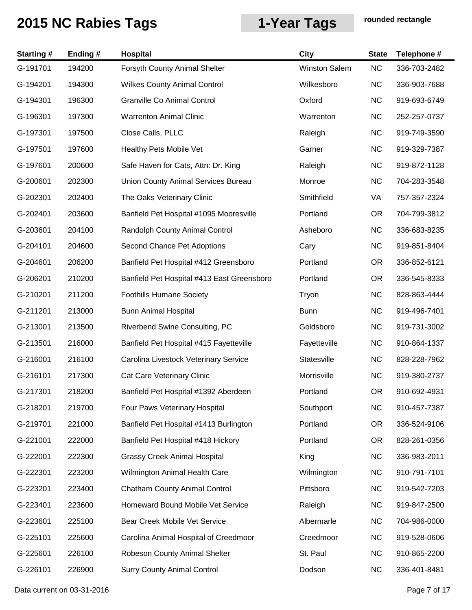| <b>Starting#</b> | Ending# | Hospital                                   | <b>City</b>   | <b>State</b> | Telephone #  |
|------------------|---------|--------------------------------------------|---------------|--------------|--------------|
| G-191701         | 194200  | Forsyth County Animal Shelter              | Winston Salem | NC           | 336-703-2482 |
| G-194201         | 194300  | <b>Wilkes County Animal Control</b>        | Wilkesboro    | <b>NC</b>    | 336-903-7688 |
| G-194301         | 196300  | Granville Co Animal Control                | Oxford        | <b>NC</b>    | 919-693-6749 |
| G-196301         | 197300  | <b>Warrenton Animal Clinic</b>             | Warrenton     | <b>NC</b>    | 252-257-0737 |
| G-197301         | 197500  | Close Calls, PLLC                          | Raleigh       | <b>NC</b>    | 919-749-3590 |
| G-197501         | 197600  | Healthy Pets Mobile Vet                    | Garner        | <b>NC</b>    | 919-329-7387 |
| G-197601         | 200600  | Safe Haven for Cats, Attn: Dr. King        | Raleigh       | <b>NC</b>    | 919-872-1128 |
| G-200601         | 202300  | Union County Animal Services Bureau        | Monroe        | <b>NC</b>    | 704-283-3548 |
| G-202301         | 202400  | The Oaks Veterinary Clinic                 | Smithfield    | VA           | 757-357-2324 |
| G-202401         | 203600  | Banfield Pet Hospital #1095 Mooresville    | Portland      | OR.          | 704-799-3812 |
| G-203601         | 204100  | Randolph County Animal Control             | Asheboro      | <b>NC</b>    | 336-683-8235 |
| G-204101         | 204600  | Second Chance Pet Adoptions                | Cary          | <b>NC</b>    | 919-851-8404 |
| G-204601         | 206200  | Banfield Pet Hospital #412 Greensboro      | Portland      | <b>OR</b>    | 336-852-6121 |
| G-206201         | 210200  | Banfield Pet Hospital #413 East Greensboro | Portland      | <b>OR</b>    | 336-545-8333 |
| G-210201         | 211200  | <b>Foothills Humane Society</b>            | Tryon         | <b>NC</b>    | 828-863-4444 |
| G-211201         | 213000  | <b>Bunn Animal Hospital</b>                | <b>Bunn</b>   | <b>NC</b>    | 919-496-7401 |
| G-213001         | 213500  | Riverbend Swine Consulting, PC             | Goldsboro     | <b>NC</b>    | 919-731-3002 |
| G-213501         | 216000  | Banfield Pet Hospital #415 Fayetteville    | Fayetteville  | <b>NC</b>    | 910-864-1337 |
| G-216001         | 216100  | Carolina Livestock Veterinary Service      | Statesville   | <b>NC</b>    | 828-228-7962 |
| G-216101         | 217300  | Cat Care Veterinary Clinic                 | Morrisville   | <b>NC</b>    | 919-380-2737 |
| G-217301         | 218200  | Banfield Pet Hospital #1392 Aberdeen       | Portland      | OR.          | 910-692-4931 |
| G-218201         | 219700  | Four Paws Veterinary Hospital              | Southport     | <b>NC</b>    | 910-457-7387 |
| G-219701         | 221000  | Banfield Pet Hospital #1413 Burlington     | Portland      | <b>OR</b>    | 336-524-9106 |
| G-221001         | 222000  | Banfield Pet Hospital #418 Hickory         | Portland      | OR.          | 828-261-0356 |
| G-222001         | 222300  | <b>Grassy Creek Animal Hospital</b>        | King          | <b>NC</b>    | 336-983-2011 |
| G-222301         | 223200  | Wilmington Animal Health Care              | Wilmington    | <b>NC</b>    | 910-791-7101 |
| G-223201         | 223400  | <b>Chatham County Animal Control</b>       | Pittsboro     | <b>NC</b>    | 919-542-7203 |
| G-223401         | 223600  | Homeward Bound Mobile Vet Service          | Raleigh       | <b>NC</b>    | 919-847-2500 |
| G-223601         | 225100  | Bear Creek Mobile Vet Service              | Albermarle    | <b>NC</b>    | 704-986-0000 |
| G-225101         | 225600  | Carolina Animal Hospital of Creedmoor      | Creedmoor     | <b>NC</b>    | 919-528-0606 |
| G-225601         | 226100  | Robeson County Animal Shelter              | St. Paul      | <b>NC</b>    | 910-865-2200 |
| G-226101         | 226900  | <b>Surry County Animal Control</b>         | Dodson        | <b>NC</b>    | 336-401-8481 |

Data current on 03-31-2016 **Page 7 of 17**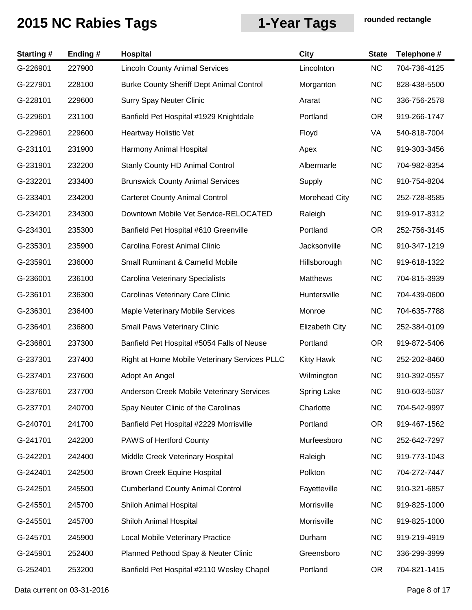| <b>Starting#</b> | Ending# | <b>Hospital</b>                                 | <b>City</b>           | <b>State</b> | Telephone #  |
|------------------|---------|-------------------------------------------------|-----------------------|--------------|--------------|
| G-226901         | 227900  | <b>Lincoln County Animal Services</b>           | Lincolnton            | <b>NC</b>    | 704-736-4125 |
| G-227901         | 228100  | <b>Burke County Sheriff Dept Animal Control</b> | Morganton             | <b>NC</b>    | 828-438-5500 |
| G-228101         | 229600  | <b>Surry Spay Neuter Clinic</b>                 | Ararat                | <b>NC</b>    | 336-756-2578 |
| G-229601         | 231100  | Banfield Pet Hospital #1929 Knightdale          | Portland              | <b>OR</b>    | 919-266-1747 |
| G-229601         | 229600  | Heartway Holistic Vet                           | Floyd                 | VA           | 540-818-7004 |
| G-231101         | 231900  | Harmony Animal Hospital                         | Apex                  | <b>NC</b>    | 919-303-3456 |
| G-231901         | 232200  | Stanly County HD Animal Control                 | Albermarle            | <b>NC</b>    | 704-982-8354 |
| G-232201         | 233400  | <b>Brunswick County Animal Services</b>         | Supply                | <b>NC</b>    | 910-754-8204 |
| G-233401         | 234200  | <b>Carteret County Animal Control</b>           | Morehead City         | <b>NC</b>    | 252-728-8585 |
| G-234201         | 234300  | Downtown Mobile Vet Service-RELOCATED           | Raleigh               | <b>NC</b>    | 919-917-8312 |
| G-234301         | 235300  | Banfield Pet Hospital #610 Greenville           | Portland              | <b>OR</b>    | 252-756-3145 |
| G-235301         | 235900  | Carolina Forest Animal Clinic                   | Jacksonville          | <b>NC</b>    | 910-347-1219 |
| G-235901         | 236000  | Small Ruminant & Camelid Mobile                 | Hillsborough          | <b>NC</b>    | 919-618-1322 |
| G-236001         | 236100  | Carolina Veterinary Specialists                 | <b>Matthews</b>       | <b>NC</b>    | 704-815-3939 |
| G-236101         | 236300  | Carolinas Veterinary Care Clinic                | Huntersville          | <b>NC</b>    | 704-439-0600 |
| G-236301         | 236400  | Maple Veterinary Mobile Services                | Monroe                | <b>NC</b>    | 704-635-7788 |
| G-236401         | 236800  | <b>Small Paws Veterinary Clinic</b>             | <b>Elizabeth City</b> | <b>NC</b>    | 252-384-0109 |
| G-236801         | 237300  | Banfield Pet Hospital #5054 Falls of Neuse      | Portland              | <b>OR</b>    | 919-872-5406 |
| G-237301         | 237400  | Right at Home Mobile Veterinary Services PLLC   | <b>Kitty Hawk</b>     | <b>NC</b>    | 252-202-8460 |
| G-237401         | 237600  | Adopt An Angel                                  | Wilmington            | <b>NC</b>    | 910-392-0557 |
| G-237601         | 237700  | Anderson Creek Mobile Veterinary Services       | Spring Lake           | <b>NC</b>    | 910-603-5037 |
| G-237701         | 240700  | Spay Neuter Clinic of the Carolinas             | Charlotte             | <b>NC</b>    | 704-542-9997 |
| G-240701         | 241700  | Banfield Pet Hospital #2229 Morrisville         | Portland              | <b>OR</b>    | 919-467-1562 |
| G-241701         | 242200  | PAWS of Hertford County                         | Murfeesboro           | <b>NC</b>    | 252-642-7297 |
| G-242201         | 242400  | Middle Creek Veterinary Hospital                | Raleigh               | <b>NC</b>    | 919-773-1043 |
| G-242401         | 242500  | Brown Creek Equine Hospital                     | Polkton               | <b>NC</b>    | 704-272-7447 |
| G-242501         | 245500  | <b>Cumberland County Animal Control</b>         | Fayetteville          | <b>NC</b>    | 910-321-6857 |
| G-245501         | 245700  | Shiloh Animal Hospital                          | Morrisville           | <b>NC</b>    | 919-825-1000 |
| G-245501         | 245700  | Shiloh Animal Hospital                          | Morrisville           | <b>NC</b>    | 919-825-1000 |
| G-245701         | 245900  | Local Mobile Veterinary Practice                | Durham                | <b>NC</b>    | 919-219-4919 |
| G-245901         | 252400  | Planned Pethood Spay & Neuter Clinic            | Greensboro            | <b>NC</b>    | 336-299-3999 |
| G-252401         | 253200  | Banfield Pet Hospital #2110 Wesley Chapel       | Portland              | <b>OR</b>    | 704-821-1415 |

Data current on 03-31-2016 **Page 8 of 17**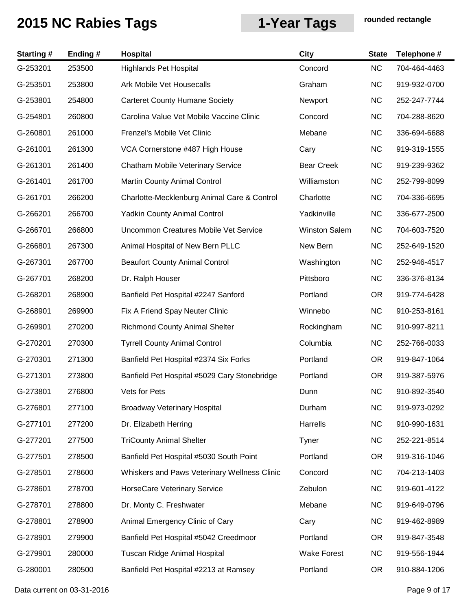| <b>Starting#</b> | Ending # | Hospital                                     | <b>City</b>          | <b>State</b> | Telephone #  |
|------------------|----------|----------------------------------------------|----------------------|--------------|--------------|
| G-253201         | 253500   | <b>Highlands Pet Hospital</b>                | Concord              | <b>NC</b>    | 704-464-4463 |
| G-253501         | 253800   | Ark Mobile Vet Housecalls                    | Graham               | <b>NC</b>    | 919-932-0700 |
| G-253801         | 254800   | <b>Carteret County Humane Society</b>        | Newport              | <b>NC</b>    | 252-247-7744 |
| G-254801         | 260800   | Carolina Value Vet Mobile Vaccine Clinic     | Concord              | <b>NC</b>    | 704-288-8620 |
| G-260801         | 261000   | Frenzel's Mobile Vet Clinic                  | Mebane               | <b>NC</b>    | 336-694-6688 |
| G-261001         | 261300   | VCA Cornerstone #487 High House              | Cary                 | <b>NC</b>    | 919-319-1555 |
| G-261301         | 261400   | Chatham Mobile Veterinary Service            | <b>Bear Creek</b>    | <b>NC</b>    | 919-239-9362 |
| G-261401         | 261700   | Martin County Animal Control                 | Williamston          | <b>NC</b>    | 252-799-8099 |
| G-261701         | 266200   | Charlotte-Mecklenburg Animal Care & Control  | Charlotte            | <b>NC</b>    | 704-336-6695 |
| G-266201         | 266700   | <b>Yadkin County Animal Control</b>          | Yadkinville          | <b>NC</b>    | 336-677-2500 |
| G-266701         | 266800   | Uncommon Creatures Mobile Vet Service        | <b>Winston Salem</b> | <b>NC</b>    | 704-603-7520 |
| G-266801         | 267300   | Animal Hospital of New Bern PLLC             | New Bern             | <b>NC</b>    | 252-649-1520 |
| G-267301         | 267700   | <b>Beaufort County Animal Control</b>        | Washington           | <b>NC</b>    | 252-946-4517 |
| G-267701         | 268200   | Dr. Ralph Houser                             | Pittsboro            | <b>NC</b>    | 336-376-8134 |
| G-268201         | 268900   | Banfield Pet Hospital #2247 Sanford          | Portland             | <b>OR</b>    | 919-774-6428 |
| G-268901         | 269900   | Fix A Friend Spay Neuter Clinic              | Winnebo              | <b>NC</b>    | 910-253-8161 |
| G-269901         | 270200   | <b>Richmond County Animal Shelter</b>        | Rockingham           | <b>NC</b>    | 910-997-8211 |
| G-270201         | 270300   | <b>Tyrrell County Animal Control</b>         | Columbia             | <b>NC</b>    | 252-766-0033 |
| G-270301         | 271300   | Banfield Pet Hospital #2374 Six Forks        | Portland             | <b>OR</b>    | 919-847-1064 |
| G-271301         | 273800   | Banfield Pet Hospital #5029 Cary Stonebridge | Portland             | <b>OR</b>    | 919-387-5976 |
| G-273801         | 276800   | Vets for Pets                                | Dunn                 | NC           | 910-892-3540 |
| G-276801         | 277100   | <b>Broadway Veterinary Hospital</b>          | Durham               | <b>NC</b>    | 919-973-0292 |
| G-277101         | 277200   | Dr. Elizabeth Herring                        | Harrells             | <b>NC</b>    | 910-990-1631 |
| G-277201         | 277500   | <b>TriCounty Animal Shelter</b>              | Tyner                | <b>NC</b>    | 252-221-8514 |
| G-277501         | 278500   | Banfield Pet Hospital #5030 South Point      | Portland             | <b>OR</b>    | 919-316-1046 |
| G-278501         | 278600   | Whiskers and Paws Veterinary Wellness Clinic | Concord              | <b>NC</b>    | 704-213-1403 |
| G-278601         | 278700   | HorseCare Veterinary Service                 | Zebulon              | <b>NC</b>    | 919-601-4122 |
| G-278701         | 278800   | Dr. Monty C. Freshwater                      | Mebane               | <b>NC</b>    | 919-649-0796 |
| G-278801         | 278900   | Animal Emergency Clinic of Cary              | Cary                 | <b>NC</b>    | 919-462-8989 |
| G-278901         | 279900   | Banfield Pet Hospital #5042 Creedmoor        | Portland             | <b>OR</b>    | 919-847-3548 |
| G-279901         | 280000   | Tuscan Ridge Animal Hospital                 | Wake Forest          | <b>NC</b>    | 919-556-1944 |
| G-280001         | 280500   | Banfield Pet Hospital #2213 at Ramsey        | Portland             | OR.          | 910-884-1206 |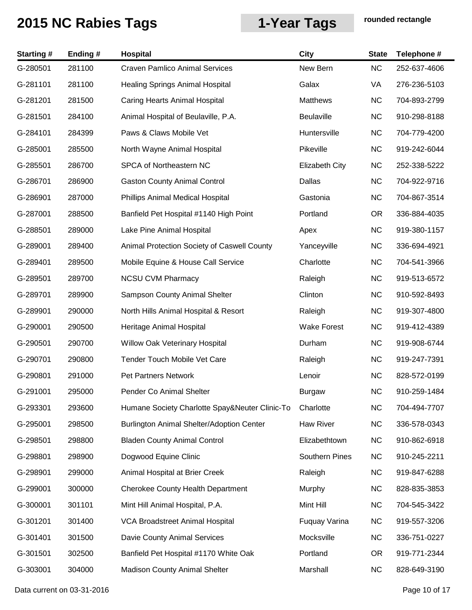| <b>Starting#</b> | Ending# | Hospital                                       | <b>City</b>           | <b>State</b> | Telephone #  |
|------------------|---------|------------------------------------------------|-----------------------|--------------|--------------|
| G-280501         | 281100  | <b>Craven Pamlico Animal Services</b>          | New Bern              | NC           | 252-637-4606 |
| G-281101         | 281100  | <b>Healing Springs Animal Hospital</b>         | Galax                 | VA           | 276-236-5103 |
| G-281201         | 281500  | Caring Hearts Animal Hospital                  | Matthews              | <b>NC</b>    | 704-893-2799 |
| G-281501         | 284100  | Animal Hospital of Beulaville, P.A.            | <b>Beulaville</b>     | <b>NC</b>    | 910-298-8188 |
| G-284101         | 284399  | Paws & Claws Mobile Vet                        | Huntersville          | <b>NC</b>    | 704-779-4200 |
| G-285001         | 285500  | North Wayne Animal Hospital                    | Pikeville             | <b>NC</b>    | 919-242-6044 |
| G-285501         | 286700  | SPCA of Northeastern NC                        | <b>Elizabeth City</b> | <b>NC</b>    | 252-338-5222 |
| G-286701         | 286900  | <b>Gaston County Animal Control</b>            | Dallas                | <b>NC</b>    | 704-922-9716 |
| G-286901         | 287000  | Phillips Animal Medical Hospital               | Gastonia              | <b>NC</b>    | 704-867-3514 |
| G-287001         | 288500  | Banfield Pet Hospital #1140 High Point         | Portland              | <b>OR</b>    | 336-884-4035 |
| G-288501         | 289000  | Lake Pine Animal Hospital                      | Apex                  | <b>NC</b>    | 919-380-1157 |
| G-289001         | 289400  | Animal Protection Society of Caswell County    | Yanceyville           | <b>NC</b>    | 336-694-4921 |
| G-289401         | 289500  | Mobile Equine & House Call Service             | Charlotte             | <b>NC</b>    | 704-541-3966 |
| G-289501         | 289700  | <b>NCSU CVM Pharmacy</b>                       | Raleigh               | <b>NC</b>    | 919-513-6572 |
| G-289701         | 289900  | Sampson County Animal Shelter                  | Clinton               | <b>NC</b>    | 910-592-8493 |
| G-289901         | 290000  | North Hills Animal Hospital & Resort           | Raleigh               | <b>NC</b>    | 919-307-4800 |
| G-290001         | 290500  | Heritage Animal Hospital                       | <b>Wake Forest</b>    | <b>NC</b>    | 919-412-4389 |
| G-290501         | 290700  | Willow Oak Veterinary Hospital                 | Durham                | <b>NC</b>    | 919-908-6744 |
| G-290701         | 290800  | Tender Touch Mobile Vet Care                   | Raleigh               | <b>NC</b>    | 919-247-7391 |
| G-290801         | 291000  | <b>Pet Partners Network</b>                    | Lenoir                | <b>NC</b>    | 828-572-0199 |
| G-291001         | 295000  | Pender Co Animal Shelter                       | Burgaw                | <b>NC</b>    | 910-259-1484 |
| G-293301         | 293600  | Humane Society Charlotte Spay&Neuter Clinic-To | Charlotte             | <b>NC</b>    | 704-494-7707 |
| G-295001         | 298500  | Burlington Animal Shelter/Adoption Center      | Haw River             | <b>NC</b>    | 336-578-0343 |
| G-298501         | 298800  | <b>Bladen County Animal Control</b>            | Elizabethtown         | <b>NC</b>    | 910-862-6918 |
| G-298801         | 298900  | Dogwood Equine Clinic                          | <b>Southern Pines</b> | <b>NC</b>    | 910-245-2211 |
| G-298901         | 299000  | Animal Hospital at Brier Creek                 | Raleigh               | <b>NC</b>    | 919-847-6288 |
| G-299001         | 300000  | <b>Cherokee County Health Department</b>       | Murphy                | <b>NC</b>    | 828-835-3853 |
| G-300001         | 301101  | Mint Hill Animal Hospital, P.A.                | Mint Hill             | <b>NC</b>    | 704-545-3422 |
| G-301201         | 301400  | VCA Broadstreet Animal Hospital                | Fuquay Varina         | <b>NC</b>    | 919-557-3206 |
| G-301401         | 301500  | Davie County Animal Services                   | Mocksville            | <b>NC</b>    | 336-751-0227 |
| G-301501         | 302500  | Banfield Pet Hospital #1170 White Oak          | Portland              | <b>OR</b>    | 919-771-2344 |
| G-303001         | 304000  | <b>Madison County Animal Shelter</b>           | Marshall              | <b>NC</b>    | 828-649-3190 |

Data current on 03-31-2016 **Page 10 of 17**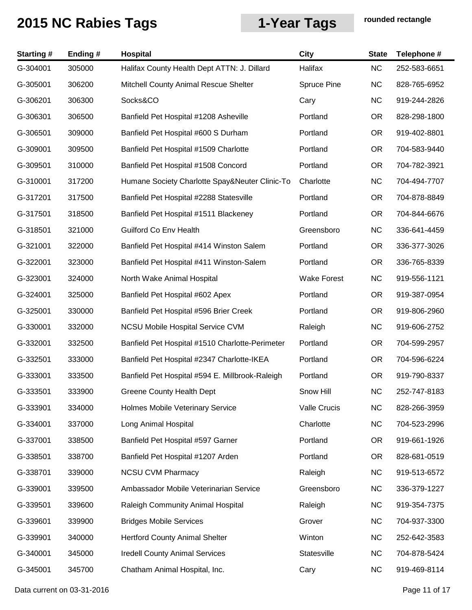| <b>Starting#</b> | Ending # | Hospital                                        | <b>City</b>         | <b>State</b> | Telephone #  |
|------------------|----------|-------------------------------------------------|---------------------|--------------|--------------|
| G-304001         | 305000   | Halifax County Health Dept ATTN: J. Dillard     | Halifax             | <b>NC</b>    | 252-583-6651 |
| G-305001         | 306200   | Mitchell County Animal Rescue Shelter           | Spruce Pine         | <b>NC</b>    | 828-765-6952 |
| G-306201         | 306300   | Socks&CO                                        | Cary                | <b>NC</b>    | 919-244-2826 |
| G-306301         | 306500   | Banfield Pet Hospital #1208 Asheville           | Portland            | <b>OR</b>    | 828-298-1800 |
| G-306501         | 309000   | Banfield Pet Hospital #600 S Durham             | Portland            | <b>OR</b>    | 919-402-8801 |
| G-309001         | 309500   | Banfield Pet Hospital #1509 Charlotte           | Portland            | <b>OR</b>    | 704-583-9440 |
| G-309501         | 310000   | Banfield Pet Hospital #1508 Concord             | Portland            | <b>OR</b>    | 704-782-3921 |
| G-310001         | 317200   | Humane Society Charlotte Spay&Neuter Clinic-To  | Charlotte           | <b>NC</b>    | 704-494-7707 |
| G-317201         | 317500   | Banfield Pet Hospital #2288 Statesville         | Portland            | <b>OR</b>    | 704-878-8849 |
| G-317501         | 318500   | Banfield Pet Hospital #1511 Blackeney           | Portland            | OR.          | 704-844-6676 |
| G-318501         | 321000   | <b>Guilford Co Env Health</b>                   | Greensboro          | <b>NC</b>    | 336-641-4459 |
| G-321001         | 322000   | Banfield Pet Hospital #414 Winston Salem        | Portland            | OR.          | 336-377-3026 |
| G-322001         | 323000   | Banfield Pet Hospital #411 Winston-Salem        | Portland            | <b>OR</b>    | 336-765-8339 |
| G-323001         | 324000   | North Wake Animal Hospital                      | <b>Wake Forest</b>  | <b>NC</b>    | 919-556-1121 |
| G-324001         | 325000   | Banfield Pet Hospital #602 Apex                 | Portland            | <b>OR</b>    | 919-387-0954 |
| G-325001         | 330000   | Banfield Pet Hospital #596 Brier Creek          | Portland            | <b>OR</b>    | 919-806-2960 |
| G-330001         | 332000   | <b>NCSU Mobile Hospital Service CVM</b>         | Raleigh             | <b>NC</b>    | 919-606-2752 |
| G-332001         | 332500   | Banfield Pet Hospital #1510 Charlotte-Perimeter | Portland            | OR.          | 704-599-2957 |
| G-332501         | 333000   | Banfield Pet Hospital #2347 Charlotte-IKEA      | Portland            | OR.          | 704-596-6224 |
| G-333001         | 333500   | Banfield Pet Hospital #594 E. Millbrook-Raleigh | Portland            | <b>OR</b>    | 919-790-8337 |
| G-333501         | 333900   | Greene County Health Dept                       | Snow Hill           | NC           | 252-747-8183 |
| G-333901         | 334000   | Holmes Mobile Veterinary Service                | <b>Valle Crucis</b> | <b>NC</b>    | 828-266-3959 |
| G-334001         | 337000   | Long Animal Hospital                            | Charlotte           | <b>NC</b>    | 704-523-2996 |
| G-337001         | 338500   | Banfield Pet Hospital #597 Garner               | Portland            | OR.          | 919-661-1926 |
| G-338501         | 338700   | Banfield Pet Hospital #1207 Arden               | Portland            | <b>OR</b>    | 828-681-0519 |
| G-338701         | 339000   | <b>NCSU CVM Pharmacy</b>                        | Raleigh             | <b>NC</b>    | 919-513-6572 |
| G-339001         | 339500   | Ambassador Mobile Veterinarian Service          | Greensboro          | <b>NC</b>    | 336-379-1227 |
| G-339501         | 339600   | Raleigh Community Animal Hospital               | Raleigh             | <b>NC</b>    | 919-354-7375 |
| G-339601         | 339900   | <b>Bridges Mobile Services</b>                  | Grover              | <b>NC</b>    | 704-937-3300 |
| G-339901         | 340000   | <b>Hertford County Animal Shelter</b>           | Winton              | <b>NC</b>    | 252-642-3583 |
| G-340001         | 345000   | <b>Iredell County Animal Services</b>           | Statesville         | <b>NC</b>    | 704-878-5424 |
| G-345001         | 345700   | Chatham Animal Hospital, Inc.                   | Cary                | <b>NC</b>    | 919-469-8114 |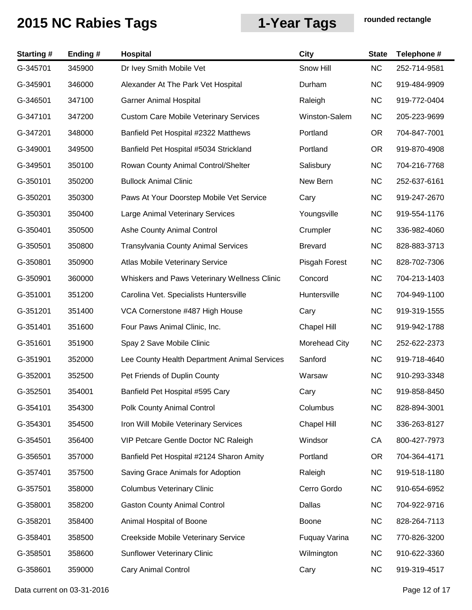| <b>Starting#</b> | Ending# | Hospital                                      | <b>City</b>        | <b>State</b> | Telephone #  |
|------------------|---------|-----------------------------------------------|--------------------|--------------|--------------|
| G-345701         | 345900  | Dr Ivey Smith Mobile Vet                      | Snow Hill          | <b>NC</b>    | 252-714-9581 |
| G-345901         | 346000  | Alexander At The Park Vet Hospital            | Durham             | <b>NC</b>    | 919-484-9909 |
| G-346501         | 347100  | <b>Garner Animal Hospital</b>                 | Raleigh            | <b>NC</b>    | 919-772-0404 |
| G-347101         | 347200  | <b>Custom Care Mobile Veterinary Services</b> | Winston-Salem      | <b>NC</b>    | 205-223-9699 |
| G-347201         | 348000  | Banfield Pet Hospital #2322 Matthews          | Portland           | <b>OR</b>    | 704-847-7001 |
| G-349001         | 349500  | Banfield Pet Hospital #5034 Strickland        | Portland           | <b>OR</b>    | 919-870-4908 |
| G-349501         | 350100  | Rowan County Animal Control/Shelter           | Salisbury          | <b>NC</b>    | 704-216-7768 |
| G-350101         | 350200  | <b>Bullock Animal Clinic</b>                  | New Bern           | <b>NC</b>    | 252-637-6161 |
| G-350201         | 350300  | Paws At Your Doorstep Mobile Vet Service      | Cary               | <b>NC</b>    | 919-247-2670 |
| G-350301         | 350400  | Large Animal Veterinary Services              | Youngsville        | <b>NC</b>    | 919-554-1176 |
| G-350401         | 350500  | Ashe County Animal Control                    | Crumpler           | <b>NC</b>    | 336-982-4060 |
| G-350501         | 350800  | <b>Transylvania County Animal Services</b>    | <b>Brevard</b>     | <b>NC</b>    | 828-883-3713 |
| G-350801         | 350900  | Atlas Mobile Veterinary Service               | Pisgah Forest      | <b>NC</b>    | 828-702-7306 |
| G-350901         | 360000  | Whiskers and Paws Veterinary Wellness Clinic  | Concord            | <b>NC</b>    | 704-213-1403 |
| G-351001         | 351200  | Carolina Vet. Specialists Huntersville        | Huntersville       | <b>NC</b>    | 704-949-1100 |
| G-351201         | 351400  | VCA Cornerstone #487 High House               | Cary               | <b>NC</b>    | 919-319-1555 |
| G-351401         | 351600  | Four Paws Animal Clinic, Inc.                 | <b>Chapel Hill</b> | <b>NC</b>    | 919-942-1788 |
| G-351601         | 351900  | Spay 2 Save Mobile Clinic                     | Morehead City      | <b>NC</b>    | 252-622-2373 |
| G-351901         | 352000  | Lee County Health Department Animal Services  | Sanford            | <b>NC</b>    | 919-718-4640 |
| G-352001         | 352500  | Pet Friends of Duplin County                  | Warsaw             | <b>NC</b>    | 910-293-3348 |
| G-352501         | 354001  | Banfield Pet Hospital #595 Cary               | Cary               | NC.          | 919-858-8450 |
| G-354101         | 354300  | Polk County Animal Control                    | Columbus           | <b>NC</b>    | 828-894-3001 |
| G-354301         | 354500  | Iron Will Mobile Veterinary Services          | <b>Chapel Hill</b> | <b>NC</b>    | 336-263-8127 |
| G-354501         | 356400  | VIP Petcare Gentle Doctor NC Raleigh          | Windsor            | CA           | 800-427-7973 |
| G-356501         | 357000  | Banfield Pet Hospital #2124 Sharon Amity      | Portland           | <b>OR</b>    | 704-364-4171 |
| G-357401         | 357500  | Saving Grace Animals for Adoption             | Raleigh            | <b>NC</b>    | 919-518-1180 |
| G-357501         | 358000  | <b>Columbus Veterinary Clinic</b>             | Cerro Gordo        | <b>NC</b>    | 910-654-6952 |
| G-358001         | 358200  | <b>Gaston County Animal Control</b>           | Dallas             | <b>NC</b>    | 704-922-9716 |
| G-358201         | 358400  | Animal Hospital of Boone                      | Boone              | <b>NC</b>    | 828-264-7113 |
| G-358401         | 358500  | Creekside Mobile Veterinary Service           | Fuquay Varina      | <b>NC</b>    | 770-826-3200 |
| G-358501         | 358600  | <b>Sunflower Veterinary Clinic</b>            | Wilmington         | <b>NC</b>    | 910-622-3360 |
| G-358601         | 359000  | <b>Cary Animal Control</b>                    | Cary               | <b>NC</b>    | 919-319-4517 |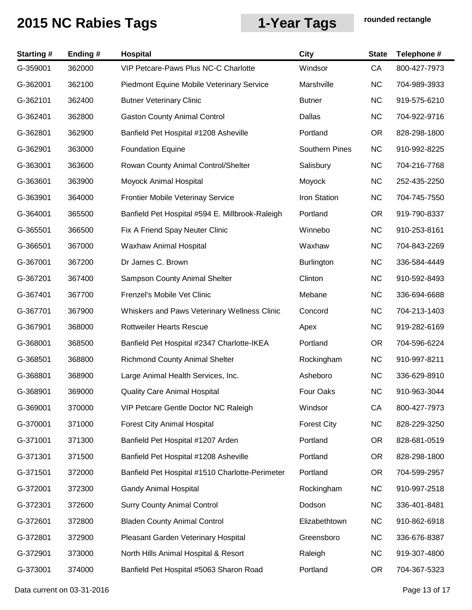| <b>Starting#</b> | Ending# | Hospital                                        | <b>City</b>           | <b>State</b> | Telephone #  |
|------------------|---------|-------------------------------------------------|-----------------------|--------------|--------------|
| G-359001         | 362000  | VIP Petcare-Paws Plus NC-C Charlotte            | Windsor               | CA           | 800-427-7973 |
| G-362001         | 362100  | Piedmont Equine Mobile Veterinary Service       | Marshville            | <b>NC</b>    | 704-989-3933 |
| G-362101         | 362400  | <b>Butner Veterinary Clinic</b>                 | <b>Butner</b>         | <b>NC</b>    | 919-575-6210 |
| G-362401         | 362800  | <b>Gaston County Animal Control</b>             | Dallas                | <b>NC</b>    | 704-922-9716 |
| G-362801         | 362900  | Banfield Pet Hospital #1208 Asheville           | Portland              | <b>OR</b>    | 828-298-1800 |
| G-362901         | 363000  | <b>Foundation Equine</b>                        | <b>Southern Pines</b> | <b>NC</b>    | 910-992-8225 |
| G-363001         | 363600  | Rowan County Animal Control/Shelter             | Salisbury             | <b>NC</b>    | 704-216-7768 |
| G-363601         | 363900  | Moyock Animal Hospital                          | Moyock                | <b>NC</b>    | 252-435-2250 |
| G-363901         | 364000  | Frontier Mobile Veterinay Service               | Iron Station          | <b>NC</b>    | 704-745-7550 |
| G-364001         | 365500  | Banfield Pet Hospital #594 E. Millbrook-Raleigh | Portland              | <b>OR</b>    | 919-790-8337 |
| G-365501         | 366500  | Fix A Friend Spay Neuter Clinic                 | Winnebo               | <b>NC</b>    | 910-253-8161 |
| G-366501         | 367000  | Waxhaw Animal Hospital                          | Waxhaw                | <b>NC</b>    | 704-843-2269 |
| G-367001         | 367200  | Dr James C. Brown                               | <b>Burlington</b>     | <b>NC</b>    | 336-584-4449 |
| G-367201         | 367400  | Sampson County Animal Shelter                   | Clinton               | <b>NC</b>    | 910-592-8493 |
| G-367401         | 367700  | Frenzel's Mobile Vet Clinic                     | Mebane                | <b>NC</b>    | 336-694-6688 |
| G-367701         | 367900  | Whiskers and Paws Veterinary Wellness Clinic    | Concord               | <b>NC</b>    | 704-213-1403 |
| G-367901         | 368000  | <b>Rottweiler Hearts Rescue</b>                 | Apex                  | NC           | 919-282-6169 |
| G-368001         | 368500  | Banfield Pet Hospital #2347 Charlotte-IKEA      | Portland              | <b>OR</b>    | 704-596-6224 |
| G-368501         | 368800  | <b>Richmond County Animal Shelter</b>           | Rockingham            | <b>NC</b>    | 910-997-8211 |
| G-368801         | 368900  | Large Animal Health Services, Inc.              | Asheboro              | <b>NC</b>    | 336-629-8910 |
| G-368901         | 369000  | <b>Quality Care Animal Hospital</b>             | Four Oaks             | <b>NC</b>    | 910-963-3044 |
| G-369001         | 370000  | VIP Petcare Gentle Doctor NC Raleigh            | Windsor               | CA           | 800-427-7973 |
| G-370001         | 371000  | <b>Forest City Animal Hospital</b>              | <b>Forest City</b>    | <b>NC</b>    | 828-229-3250 |
| G-371001         | 371300  | Banfield Pet Hospital #1207 Arden               | Portland              | OR.          | 828-681-0519 |
| G-371301         | 371500  | Banfield Pet Hospital #1208 Asheville           | Portland              | <b>OR</b>    | 828-298-1800 |
| G-371501         | 372000  | Banfield Pet Hospital #1510 Charlotte-Perimeter | Portland              | OR.          | 704-599-2957 |
| G-372001         | 372300  | <b>Gandy Animal Hospital</b>                    | Rockingham            | <b>NC</b>    | 910-997-2518 |
| G-372301         | 372600  | <b>Surry County Animal Control</b>              | Dodson                | <b>NC</b>    | 336-401-8481 |
| G-372601         | 372800  | <b>Bladen County Animal Control</b>             | Elizabethtown         | <b>NC</b>    | 910-862-6918 |
| G-372801         | 372900  | Pleasant Garden Veterinary Hospital             | Greensboro            | <b>NC</b>    | 336-676-8387 |
| G-372901         | 373000  | North Hills Animal Hospital & Resort            | Raleigh               | <b>NC</b>    | 919-307-4800 |
| G-373001         | 374000  | Banfield Pet Hospital #5063 Sharon Road         | Portland              | OR.          | 704-367-5323 |

Data current on 03-31-2016 **Page 13 of 17**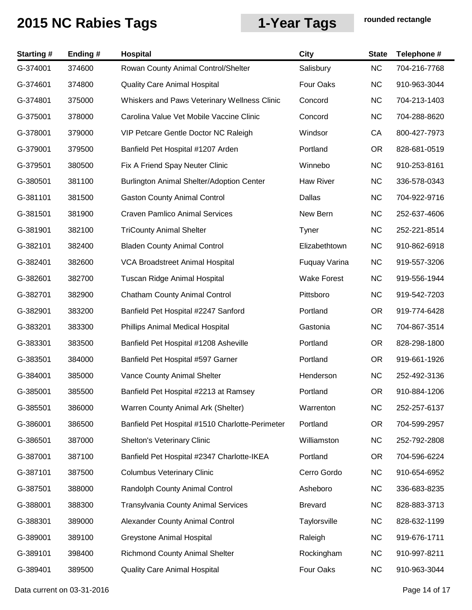| <b>Starting#</b> | Ending# | Hospital                                         | <b>City</b>        | <b>State</b> | Telephone #  |
|------------------|---------|--------------------------------------------------|--------------------|--------------|--------------|
| G-374001         | 374600  | Rowan County Animal Control/Shelter              | Salisbury          | <b>NC</b>    | 704-216-7768 |
| G-374601         | 374800  | <b>Quality Care Animal Hospital</b>              | Four Oaks          | <b>NC</b>    | 910-963-3044 |
| G-374801         | 375000  | Whiskers and Paws Veterinary Wellness Clinic     | Concord            | <b>NC</b>    | 704-213-1403 |
| G-375001         | 378000  | Carolina Value Vet Mobile Vaccine Clinic         | Concord            | <b>NC</b>    | 704-288-8620 |
| G-378001         | 379000  | VIP Petcare Gentle Doctor NC Raleigh             | Windsor            | CA           | 800-427-7973 |
| G-379001         | 379500  | Banfield Pet Hospital #1207 Arden                | Portland           | OR.          | 828-681-0519 |
| G-379501         | 380500  | Fix A Friend Spay Neuter Clinic                  | Winnebo            | <b>NC</b>    | 910-253-8161 |
| G-380501         | 381100  | <b>Burlington Animal Shelter/Adoption Center</b> | Haw River          | <b>NC</b>    | 336-578-0343 |
| G-381101         | 381500  | <b>Gaston County Animal Control</b>              | Dallas             | <b>NC</b>    | 704-922-9716 |
| G-381501         | 381900  | <b>Craven Pamlico Animal Services</b>            | New Bern           | <b>NC</b>    | 252-637-4606 |
| G-381901         | 382100  | <b>TriCounty Animal Shelter</b>                  | Tyner              | <b>NC</b>    | 252-221-8514 |
| G-382101         | 382400  | <b>Bladen County Animal Control</b>              | Elizabethtown      | <b>NC</b>    | 910-862-6918 |
| G-382401         | 382600  | VCA Broadstreet Animal Hospital                  | Fuquay Varina      | <b>NC</b>    | 919-557-3206 |
| G-382601         | 382700  | Tuscan Ridge Animal Hospital                     | <b>Wake Forest</b> | <b>NC</b>    | 919-556-1944 |
| G-382701         | 382900  | <b>Chatham County Animal Control</b>             | Pittsboro          | <b>NC</b>    | 919-542-7203 |
| G-382901         | 383200  | Banfield Pet Hospital #2247 Sanford              | Portland           | OR.          | 919-774-6428 |
| G-383201         | 383300  | Phillips Animal Medical Hospital                 | Gastonia           | <b>NC</b>    | 704-867-3514 |
| G-383301         | 383500  | Banfield Pet Hospital #1208 Asheville            | Portland           | OR.          | 828-298-1800 |
| G-383501         | 384000  | Banfield Pet Hospital #597 Garner                | Portland           | <b>OR</b>    | 919-661-1926 |
| G-384001         | 385000  | Vance County Animal Shelter                      | Henderson          | <b>NC</b>    | 252-492-3136 |
| G-385001         | 385500  | Banfield Pet Hospital #2213 at Ramsey            | Portland           | OR           | 910-884-1206 |
| G-385501         | 386000  | Warren County Animal Ark (Shelter)               | Warrenton          | <b>NC</b>    | 252-257-6137 |
| G-386001         | 386500  | Banfield Pet Hospital #1510 Charlotte-Perimeter  | Portland           | <b>OR</b>    | 704-599-2957 |
| G-386501         | 387000  | <b>Shelton's Veterinary Clinic</b>               | Williamston        | <b>NC</b>    | 252-792-2808 |
| G-387001         | 387100  | Banfield Pet Hospital #2347 Charlotte-IKEA       | Portland           | <b>OR</b>    | 704-596-6224 |
| G-387101         | 387500  | <b>Columbus Veterinary Clinic</b>                | Cerro Gordo        | <b>NC</b>    | 910-654-6952 |
| G-387501         | 388000  | Randolph County Animal Control                   | Asheboro           | <b>NC</b>    | 336-683-8235 |
| G-388001         | 388300  | <b>Transylvania County Animal Services</b>       | <b>Brevard</b>     | <b>NC</b>    | 828-883-3713 |
| G-388301         | 389000  | Alexander County Animal Control                  | Taylorsville       | <b>NC</b>    | 828-632-1199 |
| G-389001         | 389100  | <b>Greystone Animal Hospital</b>                 | Raleigh            | <b>NC</b>    | 919-676-1711 |
| G-389101         | 398400  | <b>Richmond County Animal Shelter</b>            | Rockingham         | <b>NC</b>    | 910-997-8211 |
| G-389401         | 389500  | <b>Quality Care Animal Hospital</b>              | Four Oaks          | <b>NC</b>    | 910-963-3044 |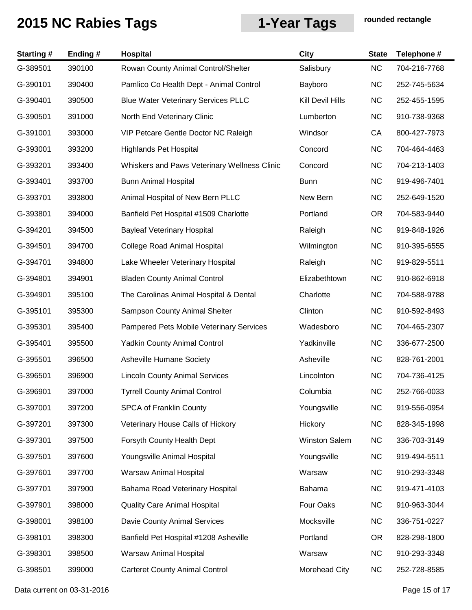| <b>Starting#</b> | Ending# | Hospital                                     | <b>City</b>          | <b>State</b> | Telephone #  |
|------------------|---------|----------------------------------------------|----------------------|--------------|--------------|
| G-389501         | 390100  | Rowan County Animal Control/Shelter          | Salisbury            | <b>NC</b>    | 704-216-7768 |
| G-390101         | 390400  | Pamlico Co Health Dept - Animal Control      | Bayboro              | <b>NC</b>    | 252-745-5634 |
| G-390401         | 390500  | <b>Blue Water Veterinary Services PLLC</b>   | Kill Devil Hills     | <b>NC</b>    | 252-455-1595 |
| G-390501         | 391000  | North End Veterinary Clinic                  | Lumberton            | <b>NC</b>    | 910-738-9368 |
| G-391001         | 393000  | VIP Petcare Gentle Doctor NC Raleigh         | Windsor              | CA           | 800-427-7973 |
| G-393001         | 393200  | <b>Highlands Pet Hospital</b>                | Concord              | <b>NC</b>    | 704-464-4463 |
| G-393201         | 393400  | Whiskers and Paws Veterinary Wellness Clinic | Concord              | <b>NC</b>    | 704-213-1403 |
| G-393401         | 393700  | <b>Bunn Animal Hospital</b>                  | <b>Bunn</b>          | <b>NC</b>    | 919-496-7401 |
| G-393701         | 393800  | Animal Hospital of New Bern PLLC             | New Bern             | <b>NC</b>    | 252-649-1520 |
| G-393801         | 394000  | Banfield Pet Hospital #1509 Charlotte        | Portland             | <b>OR</b>    | 704-583-9440 |
| G-394201         | 394500  | <b>Bayleaf Veterinary Hospital</b>           | Raleigh              | <b>NC</b>    | 919-848-1926 |
| G-394501         | 394700  | <b>College Road Animal Hospital</b>          | Wilmington           | <b>NC</b>    | 910-395-6555 |
| G-394701         | 394800  | Lake Wheeler Veterinary Hospital             | Raleigh              | <b>NC</b>    | 919-829-5511 |
| G-394801         | 394901  | <b>Bladen County Animal Control</b>          | Elizabethtown        | <b>NC</b>    | 910-862-6918 |
| G-394901         | 395100  | The Carolinas Animal Hospital & Dental       | Charlotte            | <b>NC</b>    | 704-588-9788 |
| G-395101         | 395300  | Sampson County Animal Shelter                | Clinton              | <b>NC</b>    | 910-592-8493 |
| G-395301         | 395400  | Pampered Pets Mobile Veterinary Services     | Wadesboro            | <b>NC</b>    | 704-465-2307 |
| G-395401         | 395500  | <b>Yadkin County Animal Control</b>          | Yadkinville          | <b>NC</b>    | 336-677-2500 |
| G-395501         | 396500  | Asheville Humane Society                     | Asheville            | <b>NC</b>    | 828-761-2001 |
| G-396501         | 396900  | <b>Lincoln County Animal Services</b>        | Lincolnton           | <b>NC</b>    | 704-736-4125 |
| G-396901         | 397000  | <b>Tyrrell County Animal Control</b>         | Columbia             | <b>NC</b>    | 252-766-0033 |
| G-397001         | 397200  | <b>SPCA of Franklin County</b>               | Youngsville          | <b>NC</b>    | 919-556-0954 |
| G-397201         | 397300  | Veterinary House Calls of Hickory            | Hickory              | <b>NC</b>    | 828-345-1998 |
| G-397301         | 397500  | Forsyth County Health Dept                   | <b>Winston Salem</b> | <b>NC</b>    | 336-703-3149 |
| G-397501         | 397600  | Youngsville Animal Hospital                  | Youngsville          | <b>NC</b>    | 919-494-5511 |
| G-397601         | 397700  | Warsaw Animal Hospital                       | Warsaw               | <b>NC</b>    | 910-293-3348 |
| G-397701         | 397900  | Bahama Road Veterinary Hospital              | Bahama               | <b>NC</b>    | 919-471-4103 |
| G-397901         | 398000  | <b>Quality Care Animal Hospital</b>          | Four Oaks            | <b>NC</b>    | 910-963-3044 |
| G-398001         | 398100  | Davie County Animal Services                 | Mocksville           | <b>NC</b>    | 336-751-0227 |
| G-398101         | 398300  | Banfield Pet Hospital #1208 Asheville        | Portland             | OR.          | 828-298-1800 |
| G-398301         | 398500  | <b>Warsaw Animal Hospital</b>                | Warsaw               | <b>NC</b>    | 910-293-3348 |
| G-398501         | 399000  | <b>Carteret County Animal Control</b>        | Morehead City        | <b>NC</b>    | 252-728-8585 |

Data current on 03-31-2016 **Page 15 of 17**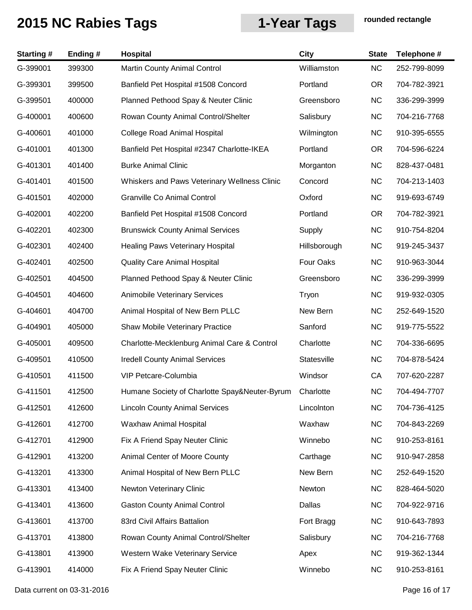| <b>Starting#</b> | Ending# | Hospital                                      | <b>City</b>  | <b>State</b> | Telephone #  |
|------------------|---------|-----------------------------------------------|--------------|--------------|--------------|
| G-399001         | 399300  | <b>Martin County Animal Control</b>           | Williamston  | <b>NC</b>    | 252-799-8099 |
| G-399301         | 399500  | Banfield Pet Hospital #1508 Concord           | Portland     | <b>OR</b>    | 704-782-3921 |
| G-399501         | 400000  | Planned Pethood Spay & Neuter Clinic          | Greensboro   | <b>NC</b>    | 336-299-3999 |
| G-400001         | 400600  | Rowan County Animal Control/Shelter           | Salisbury    | <b>NC</b>    | 704-216-7768 |
| G-400601         | 401000  | <b>College Road Animal Hospital</b>           | Wilmington   | <b>NC</b>    | 910-395-6555 |
| G-401001         | 401300  | Banfield Pet Hospital #2347 Charlotte-IKEA    | Portland     | OR.          | 704-596-6224 |
| G-401301         | 401400  | <b>Burke Animal Clinic</b>                    | Morganton    | <b>NC</b>    | 828-437-0481 |
| G-401401         | 401500  | Whiskers and Paws Veterinary Wellness Clinic  | Concord      | <b>NC</b>    | 704-213-1403 |
| G-401501         | 402000  | Granville Co Animal Control                   | Oxford       | <b>NC</b>    | 919-693-6749 |
| G-402001         | 402200  | Banfield Pet Hospital #1508 Concord           | Portland     | OR.          | 704-782-3921 |
| G-402201         | 402300  | <b>Brunswick County Animal Services</b>       | Supply       | <b>NC</b>    | 910-754-8204 |
| G-402301         | 402400  | <b>Healing Paws Veterinary Hospital</b>       | Hillsborough | <b>NC</b>    | 919-245-3437 |
| G-402401         | 402500  | <b>Quality Care Animal Hospital</b>           | Four Oaks    | <b>NC</b>    | 910-963-3044 |
| G-402501         | 404500  | Planned Pethood Spay & Neuter Clinic          | Greensboro   | <b>NC</b>    | 336-299-3999 |
| G-404501         | 404600  | Animobile Veterinary Services                 | Tryon        | <b>NC</b>    | 919-932-0305 |
| G-404601         | 404700  | Animal Hospital of New Bern PLLC              | New Bern     | <b>NC</b>    | 252-649-1520 |
| G-404901         | 405000  | Shaw Mobile Veterinary Practice               | Sanford      | <b>NC</b>    | 919-775-5522 |
| G-405001         | 409500  | Charlotte-Mecklenburg Animal Care & Control   | Charlotte    | <b>NC</b>    | 704-336-6695 |
| G-409501         | 410500  | <b>Iredell County Animal Services</b>         | Statesville  | <b>NC</b>    | 704-878-5424 |
| G-410501         | 411500  | VIP Petcare-Columbia                          | Windsor      | СA           | 707-620-2287 |
| G-411501         | 412500  | Humane Society of Charlotte Spay&Neuter-Byrum | Charlotte    | <b>NC</b>    | 704-494-7707 |
| G-412501         | 412600  | <b>Lincoln County Animal Services</b>         | Lincolnton   | <b>NC</b>    | 704-736-4125 |
| G-412601         | 412700  | Waxhaw Animal Hospital                        | Waxhaw       | <b>NC</b>    | 704-843-2269 |
| G-412701         | 412900  | Fix A Friend Spay Neuter Clinic               | Winnebo      | <b>NC</b>    | 910-253-8161 |
| G-412901         | 413200  | Animal Center of Moore County                 | Carthage     | <b>NC</b>    | 910-947-2858 |
| G-413201         | 413300  | Animal Hospital of New Bern PLLC              | New Bern     | <b>NC</b>    | 252-649-1520 |
| G-413301         | 413400  | Newton Veterinary Clinic                      | Newton       | <b>NC</b>    | 828-464-5020 |
| G-413401         | 413600  | <b>Gaston County Animal Control</b>           | Dallas       | <b>NC</b>    | 704-922-9716 |
| G-413601         | 413700  | 83rd Civil Affairs Battalion                  | Fort Bragg   | <b>NC</b>    | 910-643-7893 |
| G-413701         | 413800  | Rowan County Animal Control/Shelter           | Salisbury    | <b>NC</b>    | 704-216-7768 |
| G-413801         | 413900  | Western Wake Veterinary Service               | Apex         | <b>NC</b>    | 919-362-1344 |
| G-413901         | 414000  | Fix A Friend Spay Neuter Clinic               | Winnebo      | <b>NC</b>    | 910-253-8161 |